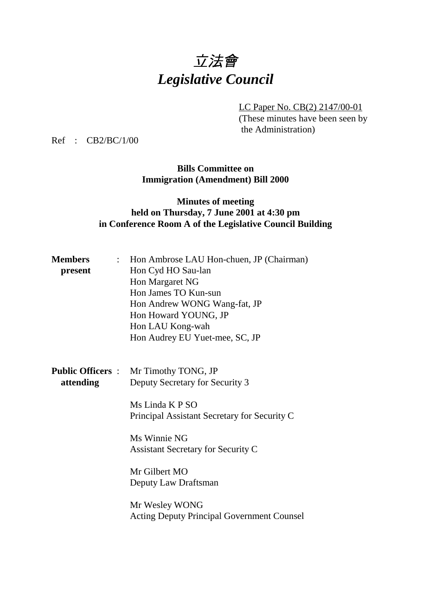## 立法會 *Legislative Council*

LC Paper No. CB(2) 2147/00-01 (These minutes have been seen by the Administration)

Ref : CB2/BC/1/00

**Bills Committee on Immigration (Amendment) Bill 2000**

## **Minutes of meeting held on Thursday, 7 June 2001 at 4:30 pm in Conference Room A of the Legislative Council Building**

| <b>Members</b> | Hon Ambrose LAU Hon-chuen, JP (Chairman)          |
|----------------|---------------------------------------------------|
| present        | Hon Cyd HO Sau-lan                                |
|                | Hon Margaret NG                                   |
|                | Hon James TO Kun-sun                              |
|                | Hon Andrew WONG Wang-fat, JP                      |
|                | Hon Howard YOUNG, JP                              |
|                | Hon LAU Kong-wah                                  |
|                | Hon Audrey EU Yuet-mee, SC, JP                    |
|                |                                                   |
|                |                                                   |
|                | <b>Public Officers :</b> Mr Timothy TONG, JP      |
| attending      | Deputy Secretary for Security 3                   |
|                |                                                   |
|                | Ms Linda K P SO                                   |
|                | Principal Assistant Secretary for Security C      |
|                | Ms Winnie NG                                      |
|                | <b>Assistant Secretary for Security C</b>         |
|                |                                                   |
|                | Mr Gilbert MO                                     |
|                | Deputy Law Draftsman                              |
|                |                                                   |
|                | Mr Wesley WONG                                    |
|                | <b>Acting Deputy Principal Government Counsel</b> |
|                |                                                   |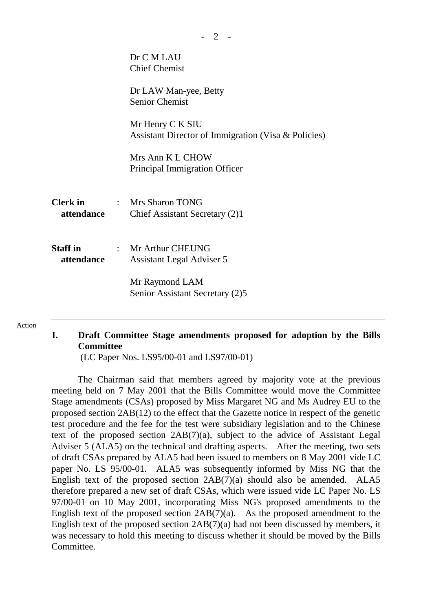|                               | Dr C M LAU<br><b>Chief Chemist</b>                                      |
|-------------------------------|-------------------------------------------------------------------------|
|                               | Dr LAW Man-yee, Betty<br><b>Senior Chemist</b>                          |
|                               | Mr Henry C K SIU<br>Assistant Director of Immigration (Visa & Policies) |
|                               | Mrs Ann K L CHOW<br>Principal Immigration Officer                       |
| attendance                    | <b>Clerk in : Mrs Sharon TONG</b><br>Chief Assistant Secretary (2)1     |
| <b>Staff in</b><br>attendance | $\therefore$ Mr Arthur CHEUNG<br>Assistant Legal Adviser 5              |
|                               | Mr Raymond LAM<br>Senior Assistant Secretary (2)5                       |

## Action

## **I. Draft Committee Stage amendments proposed for adoption by the Bills Committee**

(LC Paper Nos. LS95/00-01 and LS97/00-01)

The Chairman said that members agreed by majority vote at the previous meeting held on 7 May 2001 that the Bills Committee would move the Committee Stage amendments (CSAs) proposed by Miss Margaret NG and Ms Audrey EU to the proposed section 2AB(12) to the effect that the Gazette notice in respect of the genetic test procedure and the fee for the test were subsidiary legislation and to the Chinese text of the proposed section 2AB(7)(a), subject to the advice of Assistant Legal Adviser 5 (ALA5) on the technical and drafting aspects. After the meeting, two sets of draft CSAs prepared by ALA5 had been issued to members on 8 May 2001 vide LC paper No. LS 95/00-01. ALA5 was subsequently informed by Miss NG that the English text of the proposed section  $2AB(7)(a)$  should also be amended. ALA5 therefore prepared a new set of draft CSAs, which were issued vide LC Paper No. LS 97/00-01 on 10 May 2001, incorporating Miss NG's proposed amendments to the English text of the proposed section 2AB(7)(a). As the proposed amendment to the English text of the proposed section 2AB(7)(a) had not been discussed by members, it was necessary to hold this meeting to discuss whether it should be moved by the Bills **Committee**